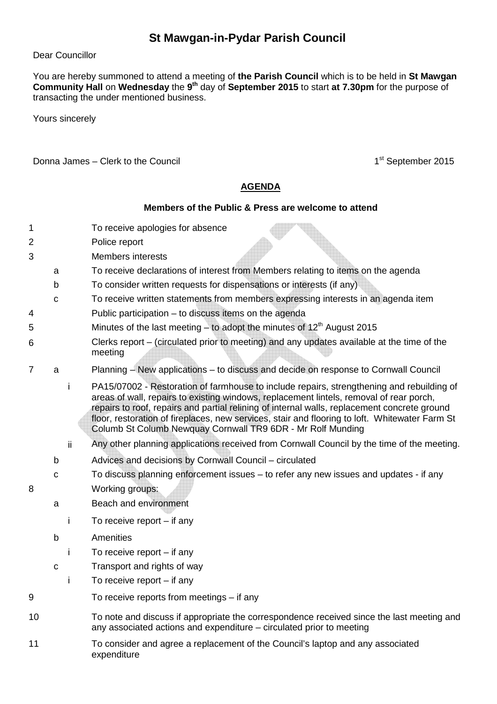## **St Mawgan-in-Pydar Parish Council**

## Dear Councillor

You are hereby summoned to attend a meeting of **the Parish Council** which is to be held in **St Mawgan Community Hall** on **Wednesday** the **9 th** day of **September 2015** to start **at 7.30pm** for the purpose of transacting the under mentioned business.

Yours sincerely

Donna James – Clerk to the Council 1st September 2015

## **AGENDA**

## **Members of the Public & Press are welcome to attend**

- 1 To receive apologies for absence
- 2 Police report
- 3 Members interests
	- a To receive declarations of interest from Members relating to items on the agenda
	- b To consider written requests for dispensations or interests (if any)
	- c To receive written statements from members expressing interests in an agenda item
- 4 Public participation to discuss items on the agenda
- 5 Minutes of the last meeting to adopt the minutes of  $12<sup>th</sup>$  August 2015
- 6 Clerks report – (circulated prior to meeting) and any updates available at the time of the meeting
- 7 a Planning New applications to discuss and decide on response to Cornwall Council
	- i PA15/07002 Restoration of farmhouse to include repairs, strengthening and rebuilding of areas of wall, repairs to existing windows, replacement lintels, removal of rear porch, repairs to roof, repairs and partial relining of internal walls, replacement concrete ground floor, restoration of fireplaces, new services, stair and flooring to loft. Whitewater Farm St Columb St Columb Newquay Cornwall TR9 6DR - Mr Rolf Munding
	- ii Any other planning applications received from Cornwall Council by the time of the meeting.
	- b Advices and decisions by Cornwall Council circulated
- c To discuss planning enforcement issues to refer any new issues and updates if any 8 Working groups:
	- a Beach and environment
		- i To receive report if any
		- b Amenities
			- i To receive report if any
		- c Transport and rights of way
			- i To receive report if any
- 9 To receive reports from meetings if any
- 10 To note and discuss if appropriate the correspondence received since the last meeting and any associated actions and expenditure – circulated prior to meeting
- 11 To consider and agree a replacement of the Council's laptop and any associated expenditure